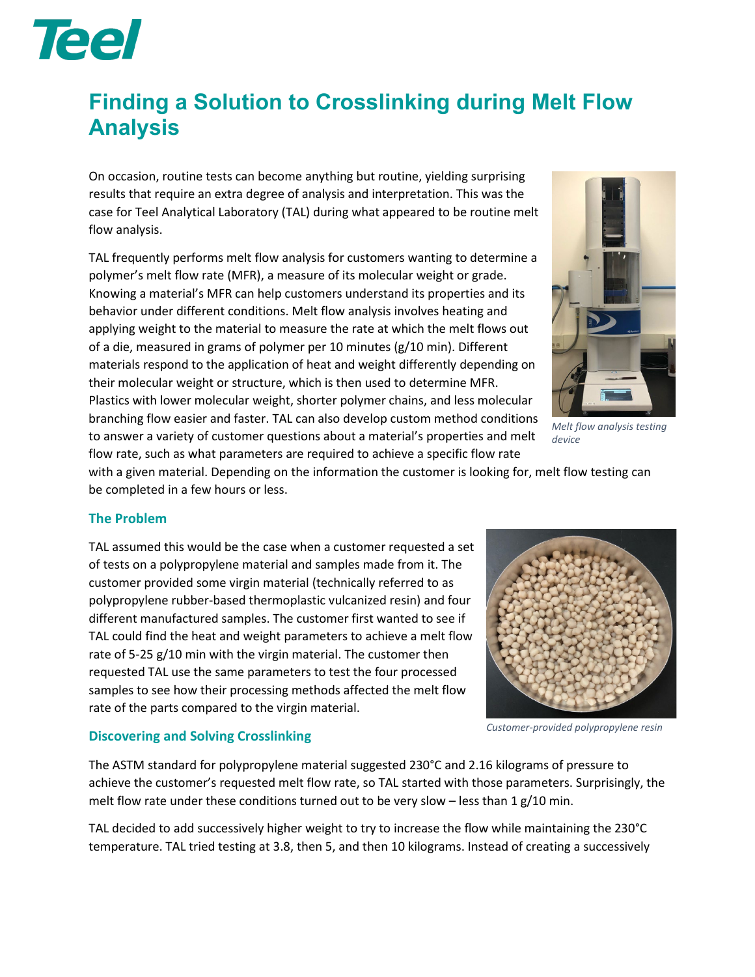

## **Finding a Solution to Crosslinking during Melt Flow Analysis**

On occasion, routine tests can become anything but routine, yielding surprising results that require an extra degree of analysis and interpretation. This was the case for Teel Analytical Laboratory (TAL) during what appeared to be routine melt flow analysis.

TAL frequently performs melt flow analysis for customers wanting to determine a polymer's melt flow rate (MFR), a measure of its molecular weight or grade. Knowing a material's MFR can help customers understand its properties and its behavior under different conditions. Melt flow analysis involves heating and applying weight to the material to measure the rate at which the melt flows out of a die, measured in grams of polymer per 10 minutes (g/10 min). Different materials respond to the application of heat and weight differently depending on their molecular weight or structure, which is then used to determine MFR. Plastics with lower molecular weight, shorter polymer chains, and less molecular branching flow easier and faster. TAL can also develop custom method conditions to answer a variety of customer questions about a material's properties and melt flow rate, such as what parameters are required to achieve a specific flow rate



*Melt flow analysis testing device*

with a given material. Depending on the information the customer is looking for, melt flow testing can be completed in a few hours or less.

## **The Problem**

TAL assumed this would be the case when a customer requested a set of tests on a polypropylene material and samples made from it. The customer provided some virgin material (technically referred to as polypropylene rubber-based thermoplastic vulcanized resin) and four different manufactured samples. The customer first wanted to see if TAL could find the heat and weight parameters to achieve a melt flow rate of 5-25 g/10 min with the virgin material. The customer then requested TAL use the same parameters to test the four processed samples to see how their processing methods affected the melt flow rate of the parts compared to the virgin material.



**Discovering and Solving Crosslinking**

The ASTM standard for polypropylene material suggested 230°C and 2.16 kilograms of pressure to achieve the customer's requested melt flow rate, so TAL started with those parameters. Surprisingly, the melt flow rate under these conditions turned out to be very slow – less than 1  $g/10$  min.

TAL decided to add successively higher weight to try to increase the flow while maintaining the 230°C temperature. TAL tried testing at 3.8, then 5, and then 10 kilograms. Instead of creating a successively

*Customer-provided polypropylene resin*